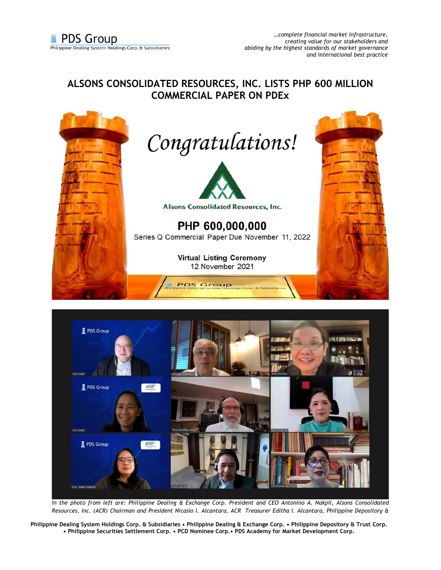## **ALSONS CONSOLIDATED RESOURCES, INC. LISTS PHP 600 MILLION COMMERCIAL PAPER ON PDEx**





*In the photo from left are: Philippine Dealing & Exchange Corp. President and CEO Antonino A. Nakpil, Alsons Consolidated Resources, Inc. (ACR) Chairman and President Nicasio I. Alcantara, ACR Treasurer Editha I. Alcantara, Philippine Depository &* 

**Philippine Dealing System Holdings Corp. & Subsidiaries • Philippine Dealing & Exchange Corp. • Philippine Depository & Trust Corp. • Philippine Securities Settlement Corp. • PCD Nominee Corp.• PDS Academy for Market Development Corp.**